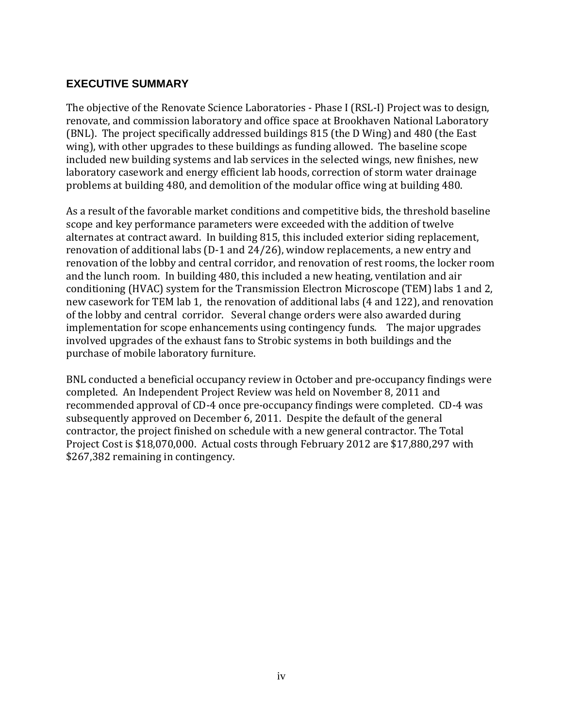## **EXECUTIVE SUMMARY**

The objective of the Renovate Science Laboratories - Phase I (RSL-I) Project was to design, renovate, and commission laboratory and office space at Brookhaven National Laboratory (BNL). The project specifically addressed buildings 815 (the D Wing) and 480 (the East wing), with other upgrades to these buildings as funding allowed. The baseline scope included new building systems and lab services in the selected wings, new finishes, new laboratory casework and energy efficient lab hoods, correction of storm water drainage problems at building 480, and demolition of the modular office wing at building 480.

As a result of the favorable market conditions and competitive bids, the threshold baseline scope and key performance parameters were exceeded with the addition of twelve alternates at contract award. In building 815, this included exterior siding replacement, renovation of additional labs (D-1 and 24/26), window replacements, a new entry and renovation of the lobby and central corridor, and renovation of rest rooms, the locker room and the lunch room. In building 480, this included a new heating, ventilation and air conditioning (HVAC) system for the Transmission Electron Microscope (TEM) labs 1 and 2, new casework for TEM lab 1, the renovation of additional labs (4 and 122), and renovation of the lobby and central corridor. Several change orders were also awarded during implementation for scope enhancements using contingency funds. The major upgrades involved upgrades of the exhaust fans to Strobic systems in both buildings and the purchase of mobile laboratory furniture.

BNL conducted a beneficial occupancy review in October and pre-occupancy findings were completed. An Independent Project Review was held on November 8, 2011 and recommended approval of CD-4 once pre-occupancy findings were completed. CD-4 was subsequently approved on December 6, 2011. Despite the default of the general contractor, the project finished on schedule with a new general contractor. The Total Project Cost is \$18,070,000. Actual costs through February 2012 are \$17,880,297 with \$267,382 remaining in contingency.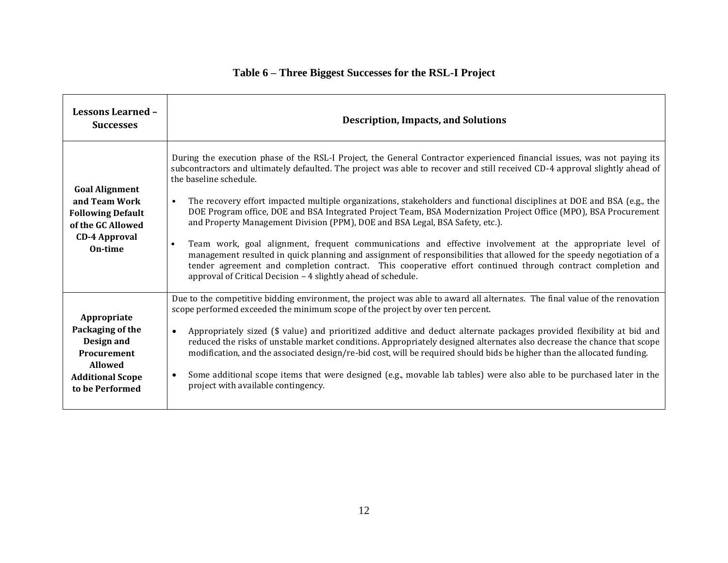| <b>Lessons Learned -</b><br><b>Successes</b>                                                                                        | <b>Description, Impacts, and Solutions</b>                                                                                                                                                                                                                                                                                                                                                                                                                                                                                                                                                                                                                                                                                                                                                                                                                                                                                                                                                                                                                      |
|-------------------------------------------------------------------------------------------------------------------------------------|-----------------------------------------------------------------------------------------------------------------------------------------------------------------------------------------------------------------------------------------------------------------------------------------------------------------------------------------------------------------------------------------------------------------------------------------------------------------------------------------------------------------------------------------------------------------------------------------------------------------------------------------------------------------------------------------------------------------------------------------------------------------------------------------------------------------------------------------------------------------------------------------------------------------------------------------------------------------------------------------------------------------------------------------------------------------|
| <b>Goal Alignment</b><br>and Team Work<br><b>Following Default</b><br>of the GC Allowed<br><b>CD-4 Approval</b><br>On-time          | During the execution phase of the RSL-I Project, the General Contractor experienced financial issues, was not paying its<br>subcontractors and ultimately defaulted. The project was able to recover and still received CD-4 approval slightly ahead of<br>the baseline schedule.<br>The recovery effort impacted multiple organizations, stakeholders and functional disciplines at DOE and BSA (e.g., the<br>$\bullet$<br>DOE Program office, DOE and BSA Integrated Project Team, BSA Modernization Project Office (MPO), BSA Procurement<br>and Property Management Division (PPM), DOE and BSA Legal, BSA Safety, etc.).<br>Team work, goal alignment, frequent communications and effective involvement at the appropriate level of<br>$\bullet$<br>management resulted in quick planning and assignment of responsibilities that allowed for the speedy negotiation of a<br>tender agreement and completion contract. This cooperative effort continued through contract completion and<br>approval of Critical Decision - 4 slightly ahead of schedule. |
| Appropriate<br>Packaging of the<br>Design and<br><b>Procurement</b><br><b>Allowed</b><br><b>Additional Scope</b><br>to be Performed | Due to the competitive bidding environment, the project was able to award all alternates. The final value of the renovation<br>scope performed exceeded the minimum scope of the project by over ten percent.<br>Appropriately sized (\$ value) and prioritized additive and deduct alternate packages provided flexibility at bid and<br>$\bullet$<br>reduced the risks of unstable market conditions. Appropriately designed alternates also decrease the chance that scope<br>modification, and the associated design/re-bid cost, will be required should bids be higher than the allocated funding.<br>Some additional scope items that were designed (e.g., movable lab tables) were also able to be purchased later in the<br>$\bullet$<br>project with available contingency.                                                                                                                                                                                                                                                                           |

## **Table 6 – Three Biggest Successes for the RSL-I Project**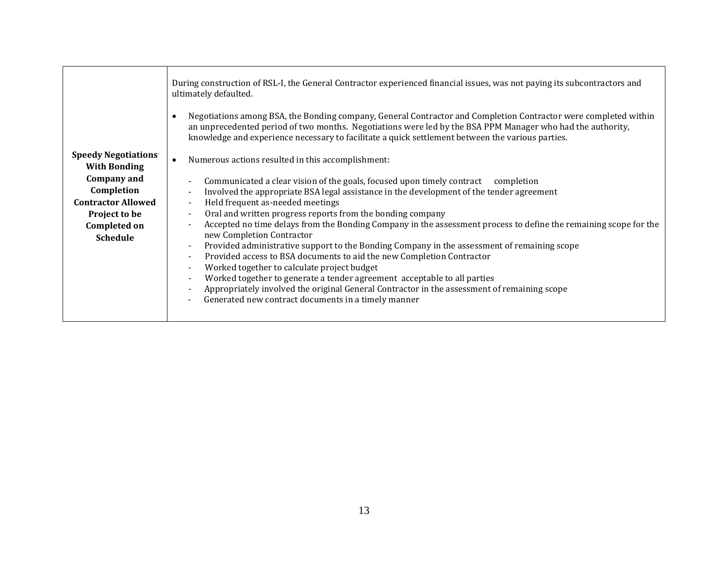|                                                   | During construction of RSL-I, the General Contractor experienced financial issues, was not paying its subcontractors and<br>ultimately defaulted.                                                                                                                                                                                              |
|---------------------------------------------------|------------------------------------------------------------------------------------------------------------------------------------------------------------------------------------------------------------------------------------------------------------------------------------------------------------------------------------------------|
|                                                   | Negotiations among BSA, the Bonding company, General Contractor and Completion Contractor were completed within<br>$\bullet$<br>an unprecedented period of two months. Negotiations were led by the BSA PPM Manager who had the authority,<br>knowledge and experience necessary to facilitate a quick settlement between the various parties. |
| <b>Speedy Negotiations</b><br><b>With Bonding</b> | Numerous actions resulted in this accomplishment:<br>$\bullet$                                                                                                                                                                                                                                                                                 |
| Company and                                       | Communicated a clear vision of the goals, focused upon timely contract completion<br>$\overline{\phantom{a}}$                                                                                                                                                                                                                                  |
| Completion                                        | Involved the appropriate BSA legal assistance in the development of the tender agreement<br>$\overline{\phantom{a}}$                                                                                                                                                                                                                           |
| <b>Contractor Allowed</b>                         | Held frequent as-needed meetings<br>$\blacksquare$                                                                                                                                                                                                                                                                                             |
| Project to be                                     | Oral and written progress reports from the bonding company<br>$\overline{\phantom{a}}$                                                                                                                                                                                                                                                         |
| <b>Completed on</b>                               | Accepted no time delays from the Bonding Company in the assessment process to define the remaining scope for the<br>$\overline{\phantom{a}}$                                                                                                                                                                                                   |
| <b>Schedule</b>                                   | new Completion Contractor<br>Provided administrative support to the Bonding Company in the assessment of remaining scope<br>$\overline{\phantom{a}}$                                                                                                                                                                                           |
|                                                   | Provided access to BSA documents to aid the new Completion Contractor<br>$\overline{\phantom{a}}$                                                                                                                                                                                                                                              |
|                                                   | Worked together to calculate project budget<br>$\overline{\phantom{a}}$                                                                                                                                                                                                                                                                        |
|                                                   | Worked together to generate a tender agreement acceptable to all parties<br>$\blacksquare$                                                                                                                                                                                                                                                     |
|                                                   | Appropriately involved the original General Contractor in the assessment of remaining scope<br>$\overline{\phantom{a}}$                                                                                                                                                                                                                        |
|                                                   | Generated new contract documents in a timely manner                                                                                                                                                                                                                                                                                            |
|                                                   |                                                                                                                                                                                                                                                                                                                                                |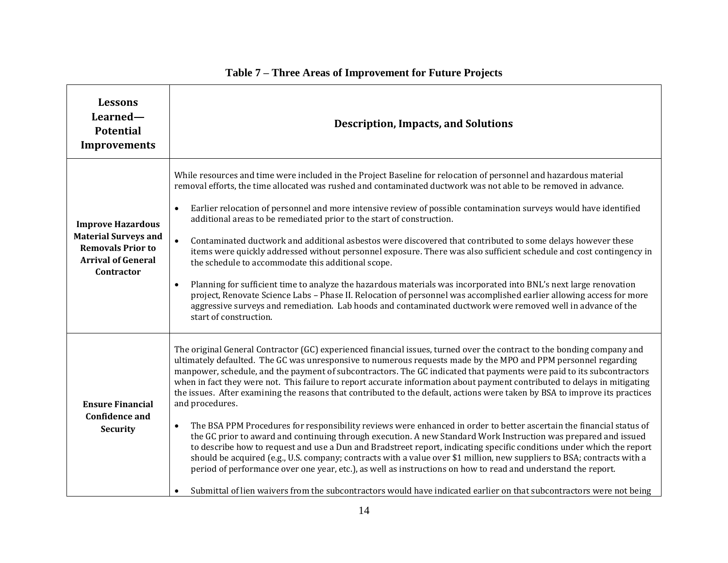| <b>Lessons</b><br>Learned-<br><b>Potential</b><br><b>Improvements</b>                                                          | <b>Description, Impacts, and Solutions</b>                                                                                                                                                                                                                                                                                                                                                                                                                                                                                                                                                                                                                                                                                                                                                                                                                                                                                                                                                                                                                                                                                                                                                                                                                                                                                                                                                            |
|--------------------------------------------------------------------------------------------------------------------------------|-------------------------------------------------------------------------------------------------------------------------------------------------------------------------------------------------------------------------------------------------------------------------------------------------------------------------------------------------------------------------------------------------------------------------------------------------------------------------------------------------------------------------------------------------------------------------------------------------------------------------------------------------------------------------------------------------------------------------------------------------------------------------------------------------------------------------------------------------------------------------------------------------------------------------------------------------------------------------------------------------------------------------------------------------------------------------------------------------------------------------------------------------------------------------------------------------------------------------------------------------------------------------------------------------------------------------------------------------------------------------------------------------------|
| <b>Improve Hazardous</b><br><b>Material Surveys and</b><br><b>Removals Prior to</b><br><b>Arrival of General</b><br>Contractor | While resources and time were included in the Project Baseline for relocation of personnel and hazardous material<br>removal efforts, the time allocated was rushed and contaminated ductwork was not able to be removed in advance.<br>Earlier relocation of personnel and more intensive review of possible contamination surveys would have identified<br>$\bullet$<br>additional areas to be remediated prior to the start of construction.<br>Contaminated ductwork and additional asbestos were discovered that contributed to some delays however these<br>items were quickly addressed without personnel exposure. There was also sufficient schedule and cost contingency in<br>the schedule to accommodate this additional scope.<br>Planning for sufficient time to analyze the hazardous materials was incorporated into BNL's next large renovation<br>$\bullet$<br>project, Renovate Science Labs - Phase II. Relocation of personnel was accomplished earlier allowing access for more<br>aggressive surveys and remediation. Lab hoods and contaminated ductwork were removed well in advance of the<br>start of construction.                                                                                                                                                                                                                                                        |
| <b>Ensure Financial</b><br><b>Confidence and</b><br><b>Security</b>                                                            | The original General Contractor (GC) experienced financial issues, turned over the contract to the bonding company and<br>ultimately defaulted. The GC was unresponsive to numerous requests made by the MPO and PPM personnel regarding<br>manpower, schedule, and the payment of subcontractors. The GC indicated that payments were paid to its subcontractors<br>when in fact they were not. This failure to report accurate information about payment contributed to delays in mitigating<br>the issues. After examining the reasons that contributed to the default, actions were taken by BSA to improve its practices<br>and procedures.<br>The BSA PPM Procedures for responsibility reviews were enhanced in order to better ascertain the financial status of<br>$\bullet$<br>the GC prior to award and continuing through execution. A new Standard Work Instruction was prepared and issued<br>to describe how to request and use a Dun and Bradstreet report, indicating specific conditions under which the report<br>should be acquired (e.g., U.S. company; contracts with a value over \$1 million, new suppliers to BSA; contracts with a<br>period of performance over one year, etc.), as well as instructions on how to read and understand the report.<br>Submittal of lien waivers from the subcontractors would have indicated earlier on that subcontractors were not being |

## **Table 7 – Three Areas of Improvement for Future Projects**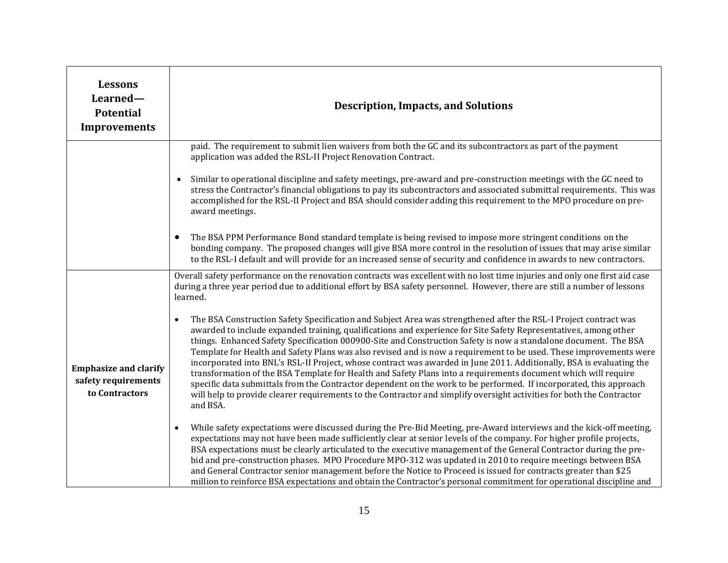| <b>Lessons</b><br>Learned-<br><b>Potential</b><br><b>Improvements</b> | <b>Description, Impacts, and Solutions</b>                                                                                                                                                                                                                                                                                                                                                                                                                                                                                                                                                                                                                                                                                                                                                                                                                                                                                                                                                      |
|-----------------------------------------------------------------------|-------------------------------------------------------------------------------------------------------------------------------------------------------------------------------------------------------------------------------------------------------------------------------------------------------------------------------------------------------------------------------------------------------------------------------------------------------------------------------------------------------------------------------------------------------------------------------------------------------------------------------------------------------------------------------------------------------------------------------------------------------------------------------------------------------------------------------------------------------------------------------------------------------------------------------------------------------------------------------------------------|
|                                                                       | paid. The requirement to submit lien waivers from both the GC and its subcontractors as part of the payment<br>application was added the RSL-II Project Renovation Contract.<br>Similar to operational discipline and safety meetings, pre-award and pre-construction meetings with the GC need to<br>$\bullet$                                                                                                                                                                                                                                                                                                                                                                                                                                                                                                                                                                                                                                                                                 |
|                                                                       | stress the Contractor's financial obligations to pay its subcontractors and associated submittal requirements. This was<br>accomplished for the RSL-II Project and BSA should consider adding this requirement to the MPO procedure on pre-<br>award meetings.                                                                                                                                                                                                                                                                                                                                                                                                                                                                                                                                                                                                                                                                                                                                  |
|                                                                       | The BSA PPM Performance Bond standard template is being revised to impose more stringent conditions on the<br>$\bullet$<br>bonding company. The proposed changes will give BSA more control in the resolution of issues that may arise similar<br>to the RSL-I default and will provide for an increased sense of security and confidence in awards to new contractors.                                                                                                                                                                                                                                                                                                                                                                                                                                                                                                                                                                                                                         |
|                                                                       | Overall safety performance on the renovation contracts was excellent with no lost time injuries and only one first aid case<br>during a three year period due to additional effort by BSA safety personnel. However, there are still a number of lessons<br>learned.                                                                                                                                                                                                                                                                                                                                                                                                                                                                                                                                                                                                                                                                                                                            |
| <b>Emphasize and clarify</b><br>safety requirements<br>to Contractors | The BSA Construction Safety Specification and Subject Area was strengthened after the RSL-I Project contract was<br>$\bullet$<br>awarded to include expanded training, qualifications and experience for Site Safety Representatives, among other<br>things. Enhanced Safety Specification 000900-Site and Construction Safety is now a standalone document. The BSA<br>Template for Health and Safety Plans was also revised and is now a requirement to be used. These improvements were<br>incorporated into BNL's RSL-II Project, whose contract was awarded in June 2011. Additionally, BSA is evaluating the<br>transformation of the BSA Template for Health and Safety Plans into a requirements document which will require<br>specific data submittals from the Contractor dependent on the work to be performed. If incorporated, this approach<br>will help to provide clearer requirements to the Contractor and simplify oversight activities for both the Contractor<br>and BSA. |
|                                                                       | While safety expectations were discussed during the Pre-Bid Meeting, pre-Award interviews and the kick-off meeting,<br>$\bullet$<br>expectations may not have been made sufficiently clear at senior levels of the company. For higher profile projects,<br>BSA expectations must be clearly articulated to the executive management of the General Contractor during the pre-<br>bid and pre-construction phases. MPO Procedure MPO-312 was updated in 2010 to require meetings between BSA<br>and General Contractor senior management before the Notice to Proceed is issued for contracts greater than \$25<br>million to reinforce BSA expectations and obtain the Contractor's personal commitment for operational discipline and                                                                                                                                                                                                                                                         |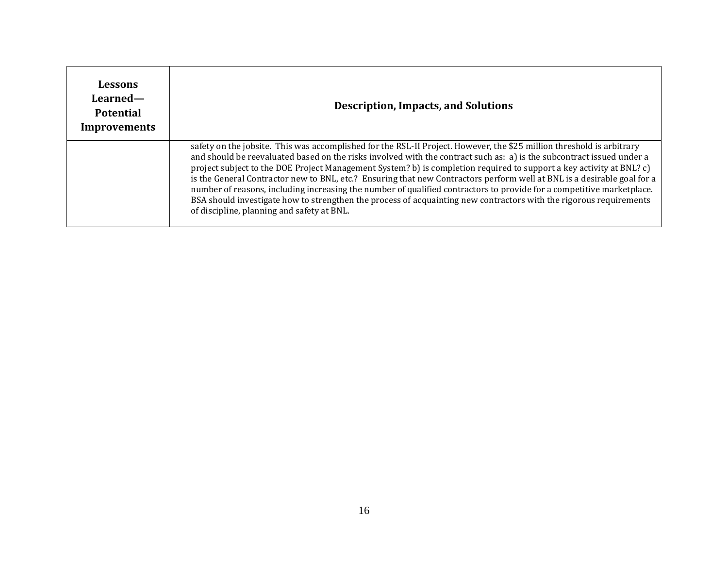| Lessons<br>Learned-<br><b>Potential</b><br>Improvements | <b>Description, Impacts, and Solutions</b>                                                                                                                                                                                                                                                                                                                                                                                                                                                                                                                                                                                                                                                                                                                                                     |
|---------------------------------------------------------|------------------------------------------------------------------------------------------------------------------------------------------------------------------------------------------------------------------------------------------------------------------------------------------------------------------------------------------------------------------------------------------------------------------------------------------------------------------------------------------------------------------------------------------------------------------------------------------------------------------------------------------------------------------------------------------------------------------------------------------------------------------------------------------------|
|                                                         | safety on the jobsite. This was accomplished for the RSL-II Project. However, the \$25 million threshold is arbitrary<br>and should be reevaluated based on the risks involved with the contract such as: a) is the subcontract issued under a<br>project subject to the DOE Project Management System? b) is completion required to support a key activity at BNL? c)<br>is the General Contractor new to BNL, etc.? Ensuring that new Contractors perform well at BNL is a desirable goal for a<br>number of reasons, including increasing the number of qualified contractors to provide for a competitive marketplace.<br>BSA should investigate how to strengthen the process of acquainting new contractors with the rigorous requirements<br>of discipline, planning and safety at BNL. |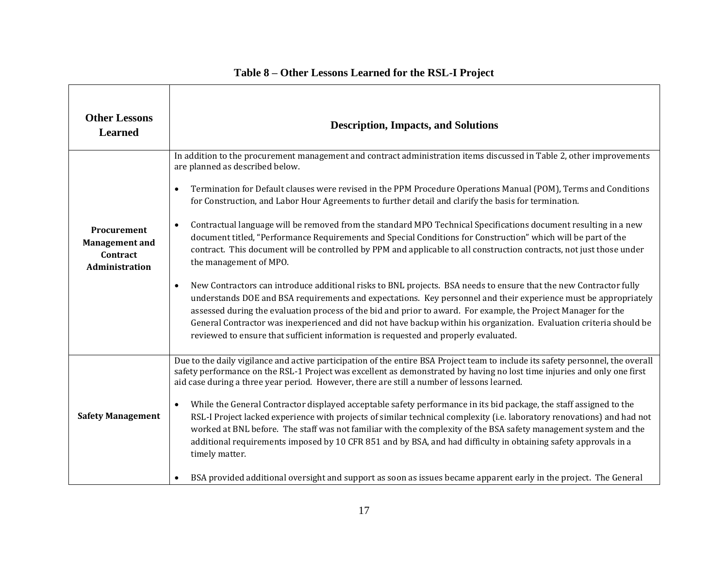| <b>Other Lessons</b><br><b>Learned</b>                             | <b>Description, Impacts, and Solutions</b>                                                                                                                                                                                                                                                                                                                                                                                                                                                                                                                                                                                                                                                                                                                                                                                                                                                                                                                                                                                                                                                                                                                                                                                                                                                                                                                                              |
|--------------------------------------------------------------------|-----------------------------------------------------------------------------------------------------------------------------------------------------------------------------------------------------------------------------------------------------------------------------------------------------------------------------------------------------------------------------------------------------------------------------------------------------------------------------------------------------------------------------------------------------------------------------------------------------------------------------------------------------------------------------------------------------------------------------------------------------------------------------------------------------------------------------------------------------------------------------------------------------------------------------------------------------------------------------------------------------------------------------------------------------------------------------------------------------------------------------------------------------------------------------------------------------------------------------------------------------------------------------------------------------------------------------------------------------------------------------------------|
| Procurement<br><b>Management</b> and<br>Contract<br>Administration | In addition to the procurement management and contract administration items discussed in Table 2, other improvements<br>are planned as described below.<br>Termination for Default clauses were revised in the PPM Procedure Operations Manual (POM), Terms and Conditions<br>$\bullet$<br>for Construction, and Labor Hour Agreements to further detail and clarify the basis for termination.<br>Contractual language will be removed from the standard MPO Technical Specifications document resulting in a new<br>$\bullet$<br>document titled, "Performance Requirements and Special Conditions for Construction" which will be part of the<br>contract. This document will be controlled by PPM and applicable to all construction contracts, not just those under<br>the management of MPO.<br>New Contractors can introduce additional risks to BNL projects. BSA needs to ensure that the new Contractor fully<br>$\bullet$<br>understands DOE and BSA requirements and expectations. Key personnel and their experience must be appropriately<br>assessed during the evaluation process of the bid and prior to award. For example, the Project Manager for the<br>General Contractor was inexperienced and did not have backup within his organization. Evaluation criteria should be<br>reviewed to ensure that sufficient information is requested and properly evaluated. |
| <b>Safety Management</b>                                           | Due to the daily vigilance and active participation of the entire BSA Project team to include its safety personnel, the overall<br>safety performance on the RSL-1 Project was excellent as demonstrated by having no lost time injuries and only one first<br>aid case during a three year period. However, there are still a number of lessons learned.<br>While the General Contractor displayed acceptable safety performance in its bid package, the staff assigned to the<br>$\bullet$<br>RSL-I Project lacked experience with projects of similar technical complexity (i.e. laboratory renovations) and had not<br>worked at BNL before. The staff was not familiar with the complexity of the BSA safety management system and the<br>additional requirements imposed by 10 CFR 851 and by BSA, and had difficulty in obtaining safety approvals in a<br>timely matter.<br>BSA provided additional oversight and support as soon as issues became apparent early in the project. The General<br>$\bullet$                                                                                                                                                                                                                                                                                                                                                                      |

## **Table 8 – Other Lessons Learned for the RSL-I Project**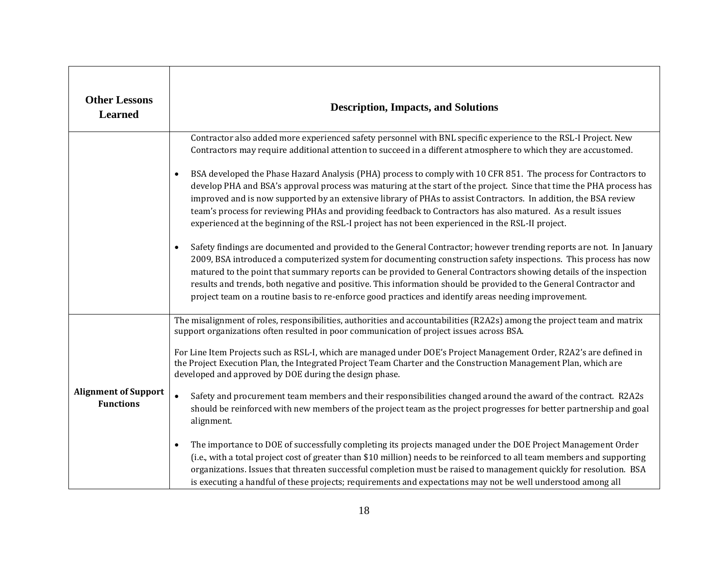| <b>Other Lessons</b><br><b>Learned</b>          | <b>Description, Impacts, and Solutions</b>                                                                                                                                                                                                                                                                                                                                                                                                                                                                                                                                                              |
|-------------------------------------------------|---------------------------------------------------------------------------------------------------------------------------------------------------------------------------------------------------------------------------------------------------------------------------------------------------------------------------------------------------------------------------------------------------------------------------------------------------------------------------------------------------------------------------------------------------------------------------------------------------------|
|                                                 | Contractor also added more experienced safety personnel with BNL specific experience to the RSL-I Project. New<br>Contractors may require additional attention to succeed in a different atmosphere to which they are accustomed.<br>BSA developed the Phase Hazard Analysis (PHA) process to comply with 10 CFR 851. The process for Contractors to<br>$\bullet$                                                                                                                                                                                                                                       |
|                                                 | develop PHA and BSA's approval process was maturing at the start of the project. Since that time the PHA process has<br>improved and is now supported by an extensive library of PHAs to assist Contractors. In addition, the BSA review<br>team's process for reviewing PHAs and providing feedback to Contractors has also matured. As a result issues<br>experienced at the beginning of the RSL-I project has not been experienced in the RSL-II project.                                                                                                                                           |
|                                                 | Safety findings are documented and provided to the General Contractor; however trending reports are not. In January<br>$\bullet$<br>2009, BSA introduced a computerized system for documenting construction safety inspections. This process has now<br>matured to the point that summary reports can be provided to General Contractors showing details of the inspection<br>results and trends, both negative and positive. This information should be provided to the General Contractor and<br>project team on a routine basis to re-enforce good practices and identify areas needing improvement. |
|                                                 | The misalignment of roles, responsibilities, authorities and accountabilities (R2A2s) among the project team and matrix<br>support organizations often resulted in poor communication of project issues across BSA.                                                                                                                                                                                                                                                                                                                                                                                     |
|                                                 | For Line Item Projects such as RSL-I, which are managed under DOE's Project Management Order, R2A2's are defined in<br>the Project Execution Plan, the Integrated Project Team Charter and the Construction Management Plan, which are<br>developed and approved by DOE during the design phase.                                                                                                                                                                                                                                                                                                        |
| <b>Alignment of Support</b><br><b>Functions</b> | Safety and procurement team members and their responsibilities changed around the award of the contract. R2A2s<br>$\bullet$<br>should be reinforced with new members of the project team as the project progresses for better partnership and goal<br>alignment.                                                                                                                                                                                                                                                                                                                                        |
|                                                 | The importance to DOE of successfully completing its projects managed under the DOE Project Management Order<br>$\bullet$<br>(i.e., with a total project cost of greater than \$10 million) needs to be reinforced to all team members and supporting<br>organizations. Issues that threaten successful completion must be raised to management quickly for resolution. BSA<br>is executing a handful of these projects; requirements and expectations may not be well understood among all                                                                                                             |